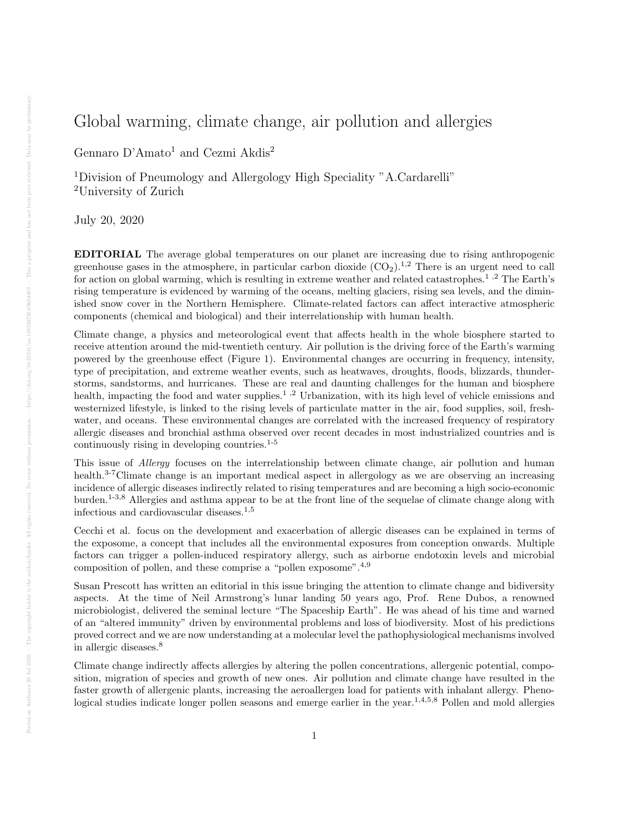## Global warming, climate change, air pollution and allergies

Gennaro  $\mathbf{D^{\prime}Amato^1}$  and Cezmi  $\mathbf{Akdis^2}$ 

<sup>1</sup>Division of Pneumology and Allergology High Speciality "A.Cardarelli" <sup>2</sup>University of Zurich

July 20, 2020

EDITORIAL The average global temperatures on our planet are increasing due to rising anthropogenic greenhouse gases in the atmosphere, in particular carbon dioxide  $(CO_2)$ <sup>1,2</sup> There is an urgent need to call for action on global warming, which is resulting in extreme weather and related catastrophes.<sup>1</sup>,<sup>2</sup> The Earth's rising temperature is evidenced by warming of the oceans, melting glaciers, rising sea levels, and the diminished snow cover in the Northern Hemisphere. Climate-related factors can affect interactive atmospheric components (chemical and biological) and their interrelationship with human health.

Climate change, a physics and meteorological event that affects health in the whole biosphere started to receive attention around the mid-twentieth century. Air pollution is the driving force of the Earth's warming powered by the greenhouse effect (Figure 1). Environmental changes are occurring in frequency, intensity, type of precipitation, and extreme weather events, such as heatwaves, droughts, floods, blizzards, thunderstorms, sandstorms, and hurricanes. These are real and daunting challenges for the human and biosphere health, impacting the food and water supplies.<sup>1</sup>,<sup>2</sup> Urbanization, with its high level of vehicle emissions and westernized lifestyle, is linked to the rising levels of particulate matter in the air, food supplies, soil, freshwater, and oceans. These environmental changes are correlated with the increased frequency of respiratory allergic diseases and bronchial asthma observed over recent decades in most industrialized countries and is continuously rising in developing countries. $1-5$ 

This issue of *Allergy* focuses on the interrelationship between climate change, air pollution and human health.<sup>3-7</sup>Climate change is an important medical aspect in allergology as we are observing an increasing incidence of allergic diseases indirectly related to rising temperatures and are becoming a high socio-economic burden.1-3,8 Allergies and asthma appear to be at the front line of the sequelae of climate change along with infectious and cardiovascular diseases. $1,5$ 

Cecchi et al. focus on the development and exacerbation of allergic diseases can be explained in terms of the exposome, a concept that includes all the environmental exposures from conception onwards. Multiple factors can trigger a pollen-induced respiratory allergy, such as airborne endotoxin levels and microbial composition of pollen, and these comprise a "pollen exposome".4,9

Susan Prescott has written an editorial in this issue bringing the attention to climate change and bidiversity aspects. At the time of Neil Armstrong's lunar landing 50 years ago, Prof. Rene Dubos, a renowned microbiologist, delivered the seminal lecture "The Spaceship Earth". He was ahead of his time and warned of an "altered immunity" driven by environmental problems and loss of biodiversity. Most of his predictions proved correct and we are now understanding at a molecular level the pathophysiological mechanisms involved in allergic diseases.<sup>8</sup>

Climate change indirectly affects allergies by altering the pollen concentrations, allergenic potential, composition, migration of species and growth of new ones. Air pollution and climate change have resulted in the faster growth of allergenic plants, increasing the aeroallergen load for patients with inhalant allergy. Phenological studies indicate longer pollen seasons and emerge earlier in the year.<sup>1,4,5,8</sup> Pollen and mold allergies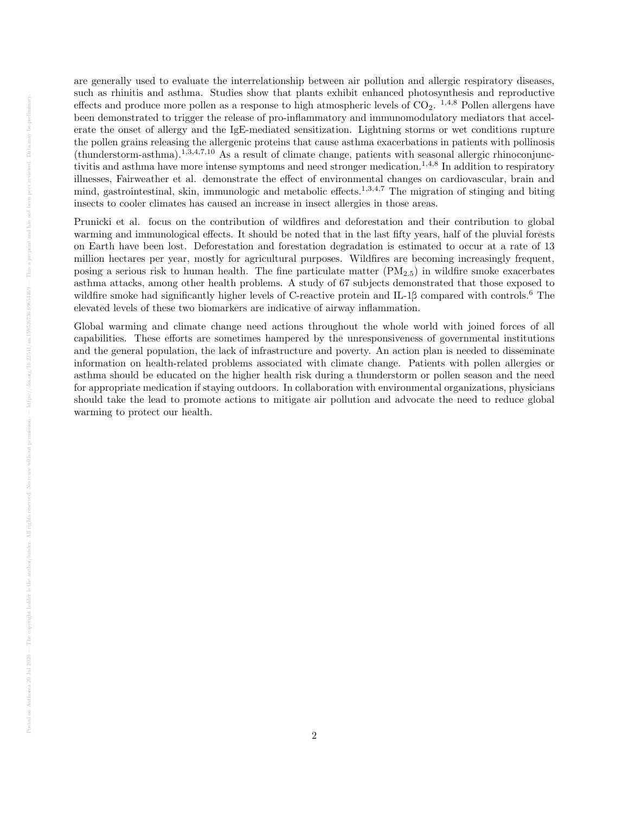are generally used to evaluate the interrelationship between air pollution and allergic respiratory diseases, such as rhinitis and asthma. Studies show that plants exhibit enhanced photosynthesis and reproductive effects and produce more pollen as a response to high atmospheric levels of  $CO<sub>2</sub>$ . <sup>1,4,8</sup> Pollen allergens have been demonstrated to trigger the release of pro-inflammatory and immunomodulatory mediators that accelerate the onset of allergy and the IgE-mediated sensitization. Lightning storms or wet conditions rupture the pollen grains releasing the allergenic proteins that cause asthma exacerbations in patients with pollinosis  $(t$ hunderstorm-asthma).<sup>1,3,4,7,10</sup> As a result of climate change, patients with seasonal allergic rhinoconjunctivitis and asthma have more intense symptoms and need stronger medication.<sup>1,4,8</sup> In addition to respiratory illnesses, Fairweather et al. demonstrate the effect of environmental changes on cardiovascular, brain and mind, gastrointestinal, skin, immunologic and metabolic effects.<sup>1,3,4,7</sup> The migration of stinging and biting insects to cooler climates has caused an increase in insect allergies in those areas.

Prunicki et al. focus on the contribution of wildfires and deforestation and their contribution to global warming and immunological effects. It should be noted that in the last fifty years, half of the pluvial forests on Earth have been lost. Deforestation and forestation degradation is estimated to occur at a rate of 13 million hectares per year, mostly for agricultural purposes. Wildfires are becoming increasingly frequent, posing a serious risk to human health. The fine particulate matter  $(PM_{2.5})$  in wildfire smoke exacerbates asthma attacks, among other health problems. A study of 67 subjects demonstrated that those exposed to wildfire smoke had significantly higher levels of C-reactive protein and IL-1β compared with controls.<sup>6</sup> The elevated levels of these two biomarkers are indicative of airway inflammation.

Global warming and climate change need actions throughout the whole world with joined forces of all capabilities. These efforts are sometimes hampered by the unresponsiveness of governmental institutions and the general population, the lack of infrastructure and poverty. An action plan is needed to disseminate information on health-related problems associated with climate change. Patients with pollen allergies or asthma should be educated on the higher health risk during a thunderstorm or pollen season and the need for appropriate medication if staying outdoors. In collaboration with environmental organizations, physicians should take the lead to promote actions to mitigate air pollution and advocate the need to reduce global warming to protect our health.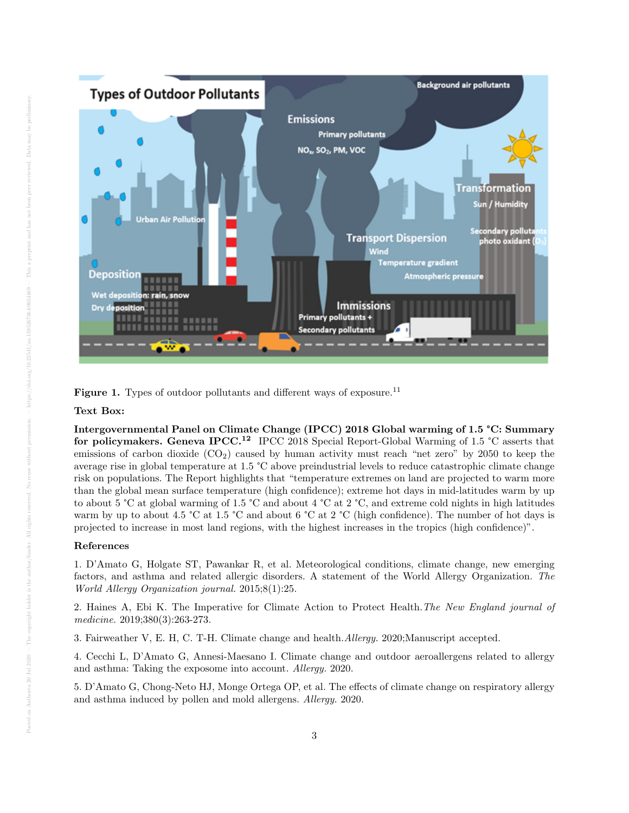

Figure 1. Types of outdoor pollutants and different ways of exposure.<sup>11</sup>

## Text Box:

Intergovernmental Panel on Climate Change (IPCC) 2018 Global warming of 1.5 °C: Summary for policymakers. Geneva IPCC.<sup>12</sup> IPCC 2018 Special Report-Global Warming of 1.5 °C asserts that emissions of carbon dioxide  $(CO_2)$  caused by human activity must reach "net zero" by 2050 to keep the average rise in global temperature at 1.5 °C above preindustrial levels to reduce catastrophic climate change risk on populations. The Report highlights that "temperature extremes on land are projected to warm more than the global mean surface temperature (high confidence); extreme hot days in mid-latitudes warm by up to about 5 °C at global warming of 1.5 °C and about 4 °C at 2 °C, and extreme cold nights in high latitudes warm by up to about 4.5 °C at 1.5 °C and about 6 °C at 2 °C (high confidence). The number of hot days is projected to increase in most land regions, with the highest increases in the tropics (high confidence)".

## References

1. D'Amato G, Holgate ST, Pawankar R, et al. Meteorological conditions, climate change, new emerging factors, and asthma and related allergic disorders. A statement of the World Allergy Organization. The World Allergy Organization journal. 2015;8(1):25.

2. Haines A, Ebi K. The Imperative for Climate Action to Protect Health.The New England journal of medicine. 2019;380(3):263-273.

3. Fairweather V, E. H, C. T-H. Climate change and health.Allergy. 2020;Manuscript accepted.

4. Cecchi L, D'Amato G, Annesi-Maesano I. Climate change and outdoor aeroallergens related to allergy and asthma: Taking the exposome into account. Allergy. 2020.

5. D'Amato G, Chong-Neto HJ, Monge Ortega OP, et al. The effects of climate change on respiratory allergy and asthma induced by pollen and mold allergens. Allergy. 2020.